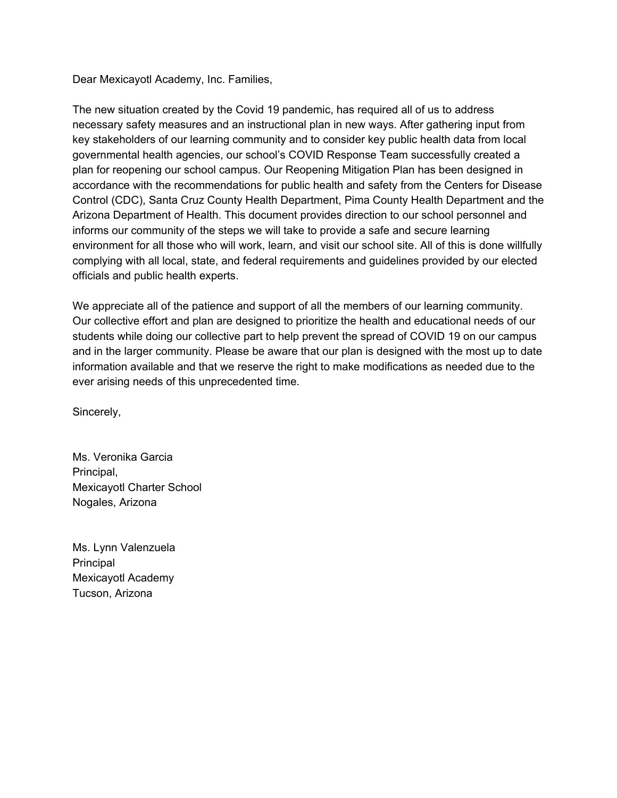Dear Mexicayotl Academy, Inc. Families,

The new situation created by the Covid 19 pandemic, has required all of us to address necessary safety measures and an instructional plan in new ways. After gathering input from key stakeholders of our learning community and to consider key public health data from local governmental health agencies, our school's COVID Response Team successfully created a plan for reopening our school campus. Our Reopening Mitigation Plan has been designed in accordance with the recommendations for public health and safety from the Centers for Disease Control (CDC), Santa Cruz County Health Department, Pima County Health Department and the Arizona Department of Health. This document provides direction to our school personnel and informs our community of the steps we will take to provide a safe and secure learning environment for all those who will work, learn, and visit our school site. All of this is done willfully complying with all local, state, and federal requirements and guidelines provided by our elected officials and public health experts.

We appreciate all of the patience and support of all the members of our learning community. Our collective effort and plan are designed to prioritize the health and educational needs of our students while doing our collective part to help prevent the spread of COVID 19 on our campus and in the larger community. Please be aware that our plan is designed with the most up to date information available and that we reserve the right to make modifications as needed due to the ever arising needs of this unprecedented time.

Sincerely,

Ms. Veronika Garcia Principal, Mexicayotl Charter School Nogales, Arizona

Ms. Lynn Valenzuela Principal Mexicayotl Academy Tucson, Arizona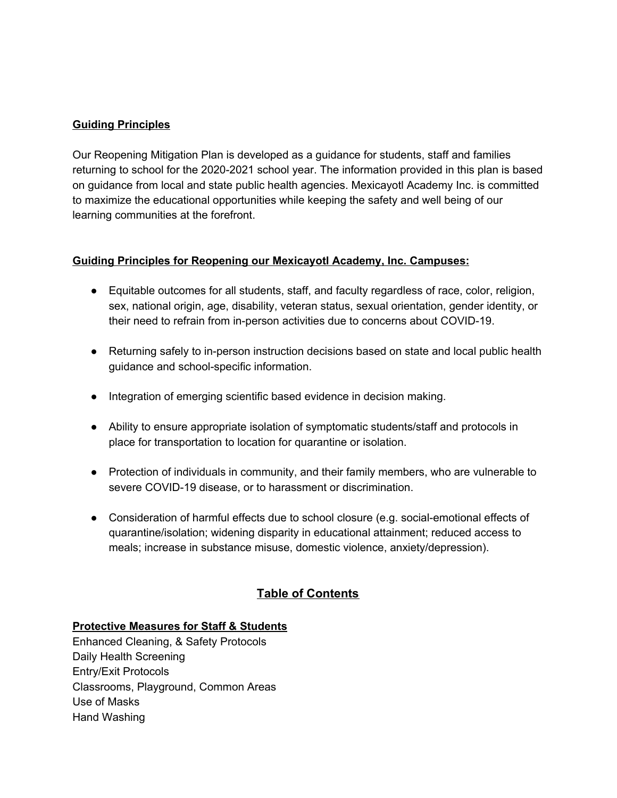#### **Guiding Principles**

Our Reopening Mitigation Plan is developed as a guidance for students, staff and families returning to school for the 2020-2021 school year. The information provided in this plan is based on guidance from local and state public health agencies. Mexicayotl Academy Inc. is committed to maximize the educational opportunities while keeping the safety and well being of our learning communities at the forefront.

#### **Guiding Principles for Reopening our Mexicayotl Academy, Inc. Campuses:**

- Equitable outcomes for all students, staff, and faculty regardless of race, color, religion, sex, national origin, age, disability, veteran status, sexual orientation, gender identity, or their need to refrain from in-person activities due to concerns about COVID-19.
- Returning safely to in-person instruction decisions based on state and local public health guidance and school-specific information.
- Integration of emerging scientific based evidence in decision making.
- Ability to ensure appropriate isolation of symptomatic students/staff and protocols in place for transportation to location for quarantine or isolation.
- Protection of individuals in community, and their family members, who are vulnerable to severe COVID-19 disease, or to harassment or discrimination.
- Consideration of harmful effects due to school closure (e.g. social-emotional effects of quarantine/isolation; widening disparity in educational attainment; reduced access to meals; increase in substance misuse, domestic violence, anxiety/depression).

# **Table of Contents**

### **Protective Measures for Staff & Students**

Enhanced Cleaning, & Safety Protocols Daily Health Screening Entry/Exit Protocols Classrooms, Playground, Common Areas Use of Masks Hand Washing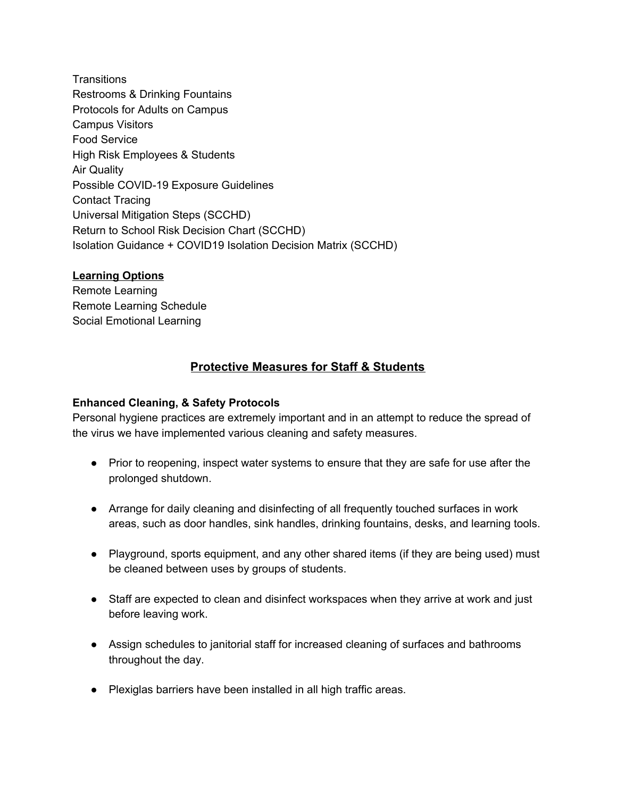**Transitions** Restrooms & Drinking Fountains Protocols for Adults on Campus Campus Visitors Food Service High Risk Employees & Students Air Quality Possible COVID-19 Exposure Guidelines Contact Tracing Universal Mitigation Steps (SCCHD) Return to School Risk Decision Chart (SCCHD) Isolation Guidance + COVID19 Isolation Decision Matrix (SCCHD)

#### **Learning Options**

Remote Learning Remote Learning Schedule Social Emotional Learning

# **Protective Measures for Staff & Students**

#### **Enhanced Cleaning, & Safety Protocols**

Personal hygiene practices are extremely important and in an attempt to reduce the spread of the virus we have implemented various cleaning and safety measures.

- Prior to reopening, inspect water systems to ensure that they are safe for use after the prolonged shutdown.
- Arrange for daily cleaning and disinfecting of all frequently touched surfaces in work areas, such as door handles, sink handles, drinking fountains, desks, and learning tools.
- Playground, sports equipment, and any other shared items (if they are being used) must be cleaned between uses by groups of students.
- Staff are expected to clean and disinfect workspaces when they arrive at work and just before leaving work.
- Assign schedules to janitorial staff for increased cleaning of surfaces and bathrooms throughout the day.
- Plexiglas barriers have been installed in all high traffic areas.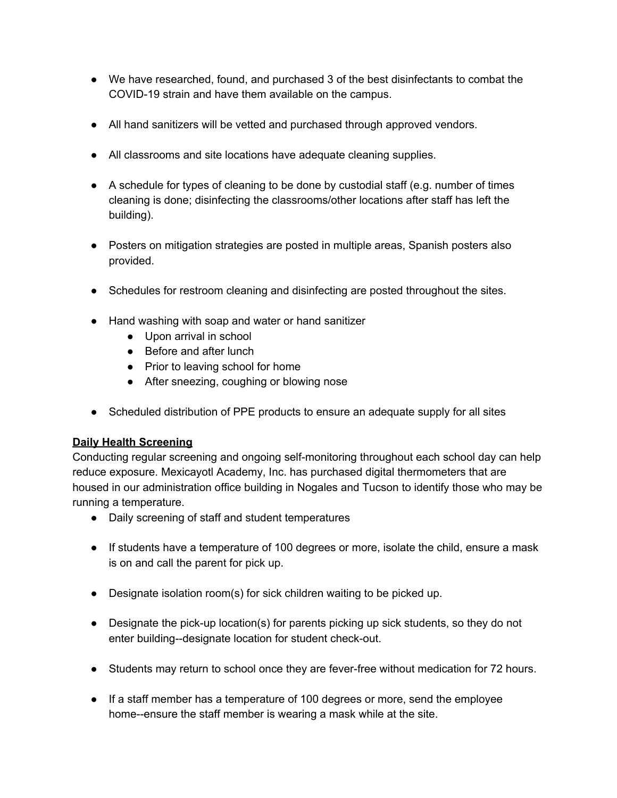- We have researched, found, and purchased 3 of the best disinfectants to combat the COVID-19 strain and have them available on the campus.
- All hand sanitizers will be vetted and purchased through approved vendors.
- All classrooms and site locations have adequate cleaning supplies.
- A schedule for types of cleaning to be done by custodial staff (e.g. number of times cleaning is done; disinfecting the classrooms/other locations after staff has left the building).
- Posters on mitigation strategies are posted in multiple areas, Spanish posters also provided.
- Schedules for restroom cleaning and disinfecting are posted throughout the sites.
- Hand washing with soap and water or hand sanitizer
	- Upon arrival in school
	- Before and after lunch
	- Prior to leaving school for home
	- After sneezing, coughing or blowing nose
- Scheduled distribution of PPE products to ensure an adequate supply for all sites

### **Daily Health Screening**

Conducting regular screening and ongoing self-monitoring throughout each school day can help reduce exposure. Mexicayotl Academy, Inc. has purchased digital thermometers that are housed in our administration office building in Nogales and Tucson to identify those who may be running a temperature.

- Daily screening of staff and student temperatures
- If students have a temperature of 100 degrees or more, isolate the child, ensure a mask is on and call the parent for pick up.
- Designate isolation room(s) for sick children waiting to be picked up.
- Designate the pick-up location(s) for parents picking up sick students, so they do not enter building--designate location for student check-out.
- Students may return to school once they are fever-free without medication for 72 hours.
- If a staff member has a temperature of 100 degrees or more, send the employee home--ensure the staff member is wearing a mask while at the site.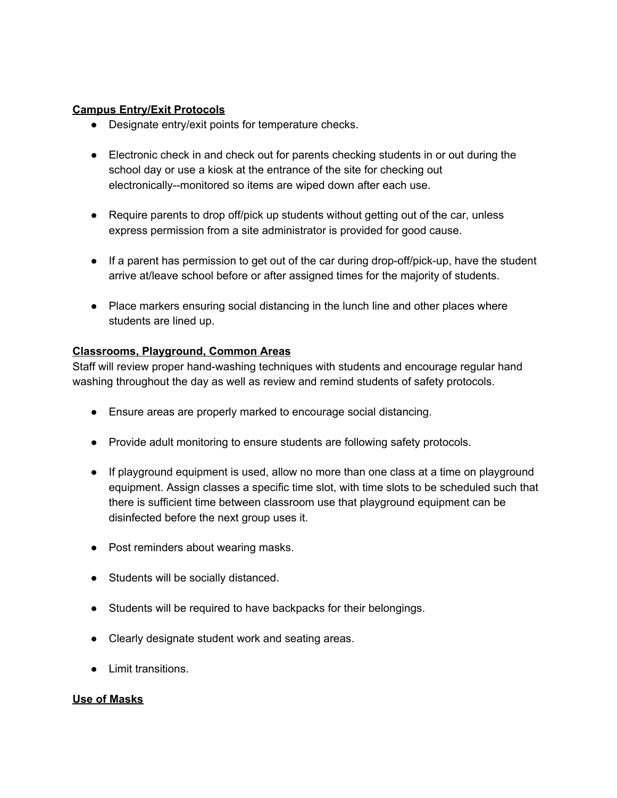#### **Campus Entry/Exit Protocols**

- Designate entry/exit points for temperature checks.
- Electronic check in and check out for parents checking students in or out during the school day or use a kiosk at the entrance of the site for checking out electronically--monitored so items are wiped down after each use.
- Require parents to drop off/pick up students without getting out of the car, unless express permission from a site administrator is provided for good cause.
- If a parent has permission to get out of the car during drop-off/pick-up, have the student arrive at/leave school before or after assigned times for the majority of students.
- Place markers ensuring social distancing in the lunch line and other places where students are lined up.

#### **Classrooms, Playground, Common Areas**

Staff will review proper hand-washing techniques with students and encourage regular hand washing throughout the day as well as review and remind students of safety protocols.

- Ensure areas are properly marked to encourage social distancing.
- Provide adult monitoring to ensure students are following safety protocols.
- If playground equipment is used, allow no more than one class at a time on playground equipment. Assign classes a specific time slot, with time slots to be scheduled such that there is sufficient time between classroom use that playground equipment can be disinfected before the next group uses it.
- Post reminders about wearing masks.
- Students will be socially distanced.
- Students will be required to have backpacks for their belongings.
- Clearly designate student work and seating areas.
- Limit transitions.

#### **Use of Masks**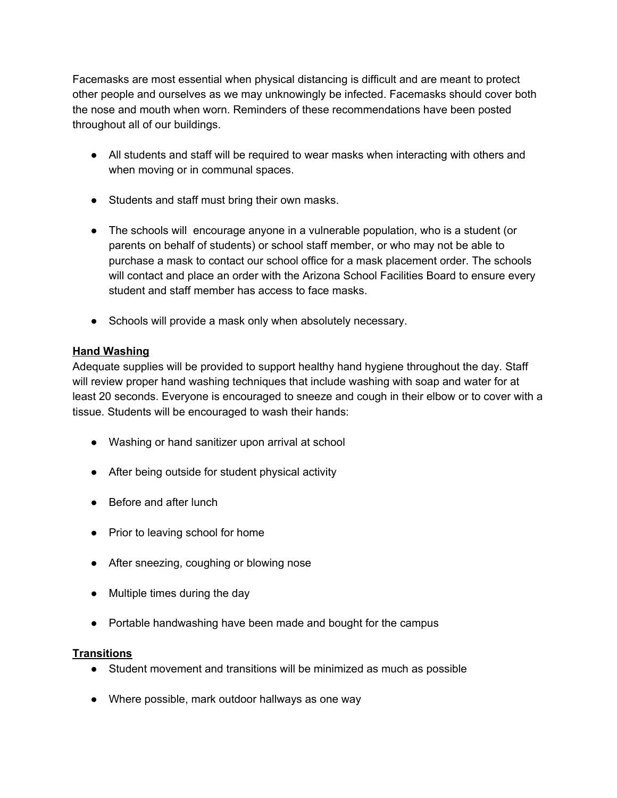Facemasks are most essential when physical distancing is difficult and are meant to protect other people and ourselves as we may unknowingly be infected. Facemasks should cover both the nose and mouth when worn. Reminders of these recommendations have been posted throughout all of our buildings.

- All students and staff will be required to wear masks when interacting with others and when moving or in communal spaces.
- Students and staff must bring their own masks.
- The schools will encourage anyone in a vulnerable population, who is a student (or parents on behalf of students) or school staff member, or who may not be able to purchase a mask to contact our school office for a mask placement order. The schools will contact and place an order with the Arizona School Facilities Board to ensure every student and staff member has access to face masks.
- Schools will provide a mask only when absolutely necessary.

#### **Hand Washing**

Adequate supplies will be provided to support healthy hand hygiene throughout the day. Staff will review proper hand washing techniques that include washing with soap and water for at least 20 seconds. Everyone is encouraged to sneeze and cough in their elbow or to cover with a tissue. Students will be encouraged to wash their hands:

- Washing or hand sanitizer upon arrival at school
- After being outside for student physical activity
- Before and after lunch
- Prior to leaving school for home
- After sneezing, coughing or blowing nose
- Multiple times during the day
- Portable handwashing have been made and bought for the campus

#### **Transitions**

- Student movement and transitions will be minimized as much as possible
- Where possible, mark outdoor hallways as one way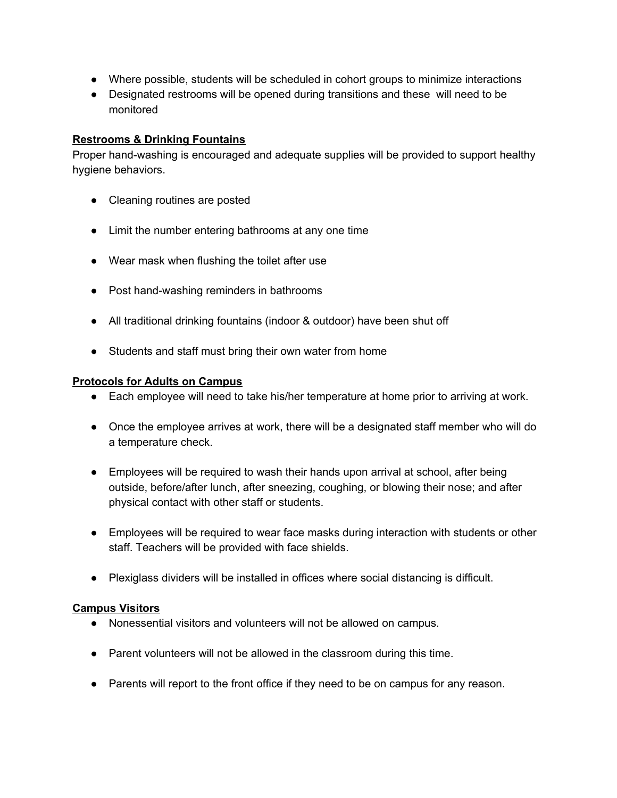- Where possible, students will be scheduled in cohort groups to minimize interactions
- Designated restrooms will be opened during transitions and these will need to be monitored

#### **Restrooms & Drinking Fountains**

Proper hand-washing is encouraged and adequate supplies will be provided to support healthy hygiene behaviors.

- Cleaning routines are posted
- Limit the number entering bathrooms at any one time
- Wear mask when flushing the toilet after use
- Post hand-washing reminders in bathrooms
- All traditional drinking fountains (indoor & outdoor) have been shut off
- Students and staff must bring their own water from home

#### **Protocols for Adults on Campus**

- Each employee will need to take his/her temperature at home prior to arriving at work.
- Once the employee arrives at work, there will be a designated staff member who will do a temperature check.
- Employees will be required to wash their hands upon arrival at school, after being outside, before/after lunch, after sneezing, coughing, or blowing their nose; and after physical contact with other staff or students.
- Employees will be required to wear face masks during interaction with students or other staff. Teachers will be provided with face shields.
- Plexiglass dividers will be installed in offices where social distancing is difficult.

#### **Campus Visitors**

- Nonessential visitors and volunteers will not be allowed on campus.
- Parent volunteers will not be allowed in the classroom during this time.
- Parents will report to the front office if they need to be on campus for any reason.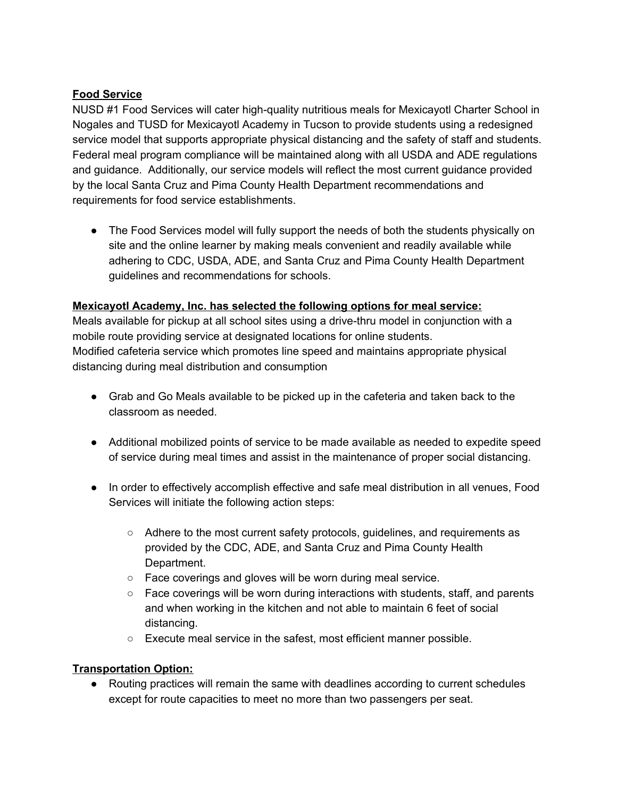# **Food Service**

NUSD #1 Food Services will cater high-quality nutritious meals for Mexicayotl Charter School in Nogales and TUSD for Mexicayotl Academy in Tucson to provide students using a redesigned service model that supports appropriate physical distancing and the safety of staff and students. Federal meal program compliance will be maintained along with all USDA and ADE regulations and guidance. Additionally, our service models will reflect the most current guidance provided by the local Santa Cruz and Pima County Health Department recommendations and requirements for food service establishments.

• The Food Services model will fully support the needs of both the students physically on site and the online learner by making meals convenient and readily available while adhering to CDC, USDA, ADE, and Santa Cruz and Pima County Health Department guidelines and recommendations for schools.

### **Mexicayotl Academy, Inc. has selected the following options for meal service:**

Meals available for pickup at all school sites using a drive-thru model in conjunction with a mobile route providing service at designated locations for online students. Modified cafeteria service which promotes line speed and maintains appropriate physical distancing during meal distribution and consumption

- Grab and Go Meals available to be picked up in the cafeteria and taken back to the classroom as needed.
- Additional mobilized points of service to be made available as needed to expedite speed of service during meal times and assist in the maintenance of proper social distancing.
- In order to effectively accomplish effective and safe meal distribution in all venues, Food Services will initiate the following action steps:
	- Adhere to the most current safety protocols, guidelines, and requirements as provided by the CDC, ADE, and Santa Cruz and Pima County Health Department.
	- Face coverings and gloves will be worn during meal service.
	- Face coverings will be worn during interactions with students, staff, and parents and when working in the kitchen and not able to maintain 6 feet of social distancing.
	- Execute meal service in the safest, most efficient manner possible.

### **Transportation Option:**

● Routing practices will remain the same with deadlines according to current schedules except for route capacities to meet no more than two passengers per seat.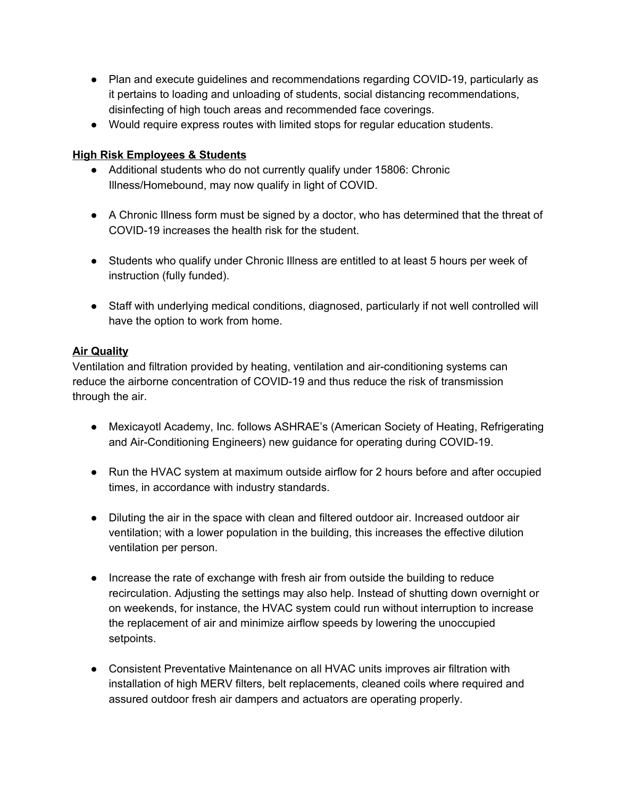- Plan and execute guidelines and recommendations regarding COVID-19, particularly as it pertains to loading and unloading of students, social distancing recommendations, disinfecting of high touch areas and recommended face coverings.
- Would require express routes with limited stops for regular education students.

# **High Risk Employees & Students**

- Additional students who do not currently qualify under 15806: Chronic Illness/Homebound, may now qualify in light of COVID.
- A Chronic Illness form must be signed by a doctor, who has determined that the threat of COVID-19 increases the health risk for the student.
- Students who qualify under Chronic Illness are entitled to at least 5 hours per week of instruction (fully funded).
- Staff with underlying medical conditions, diagnosed, particularly if not well controlled will have the option to work from home.

# **Air Quality**

Ventilation and filtration provided by heating, ventilation and air-conditioning systems can reduce the airborne concentration of COVID-19 and thus reduce the risk of transmission through the air.

- Mexicayotl Academy, Inc. follows ASHRAE's (American Society of Heating, Refrigerating and Air-Conditioning Engineers) new guidance for operating during COVID-19.
- Run the HVAC system at maximum outside airflow for 2 hours before and after occupied times, in accordance with industry standards.
- Diluting the air in the space with clean and filtered outdoor air. Increased outdoor air ventilation; with a lower population in the building, this increases the effective dilution ventilation per person.
- Increase the rate of exchange with fresh air from outside the building to reduce recirculation. Adjusting the settings may also help. Instead of shutting down overnight or on weekends, for instance, the HVAC system could run without interruption to increase the replacement of air and minimize airflow speeds by lowering the unoccupied setpoints.
- Consistent Preventative Maintenance on all HVAC units improves air filtration with installation of high MERV filters, belt replacements, cleaned coils where required and assured outdoor fresh air dampers and actuators are operating properly.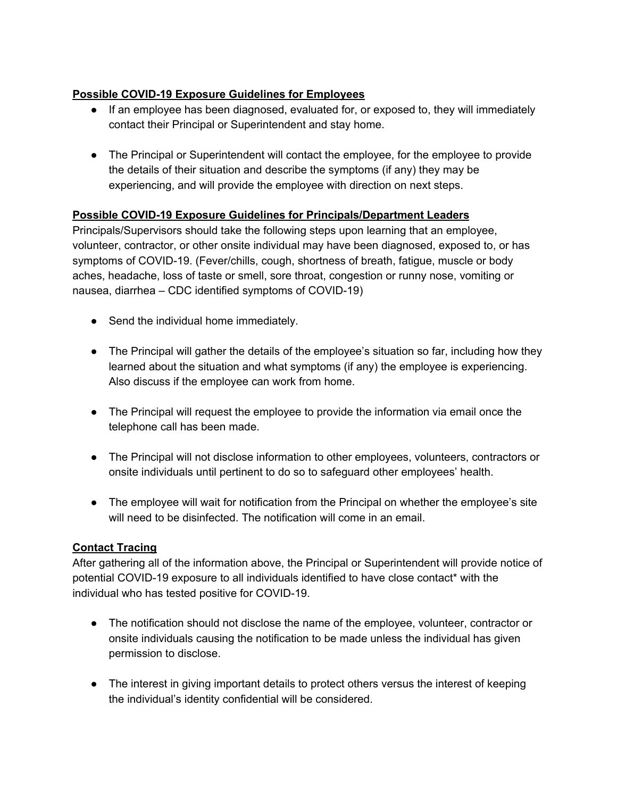# **Possible COVID-19 Exposure Guidelines for Employees**

- If an employee has been diagnosed, evaluated for, or exposed to, they will immediately contact their Principal or Superintendent and stay home.
- The Principal or Superintendent will contact the employee, for the employee to provide the details of their situation and describe the symptoms (if any) they may be experiencing, and will provide the employee with direction on next steps.

### **Possible COVID-19 Exposure Guidelines for Principals/Department Leaders**

Principals/Supervisors should take the following steps upon learning that an employee, volunteer, contractor, or other onsite individual may have been diagnosed, exposed to, or has symptoms of COVID-19. (Fever/chills, cough, shortness of breath, fatigue, muscle or body aches, headache, loss of taste or smell, sore throat, congestion or runny nose, vomiting or nausea, diarrhea – CDC identified symptoms of COVID-19)

- Send the individual home immediately.
- The Principal will gather the details of the employee's situation so far, including how they learned about the situation and what symptoms (if any) the employee is experiencing. Also discuss if the employee can work from home.
- The Principal will request the employee to provide the information via email once the telephone call has been made.
- The Principal will not disclose information to other employees, volunteers, contractors or onsite individuals until pertinent to do so to safeguard other employees' health.
- The employee will wait for notification from the Principal on whether the employee's site will need to be disinfected. The notification will come in an email.

# **Contact Tracing**

After gathering all of the information above, the Principal or Superintendent will provide notice of potential COVID-19 exposure to all individuals identified to have close contact\* with the individual who has tested positive for COVID-19.

- The notification should not disclose the name of the employee, volunteer, contractor or onsite individuals causing the notification to be made unless the individual has given permission to disclose.
- The interest in giving important details to protect others versus the interest of keeping the individual's identity confidential will be considered.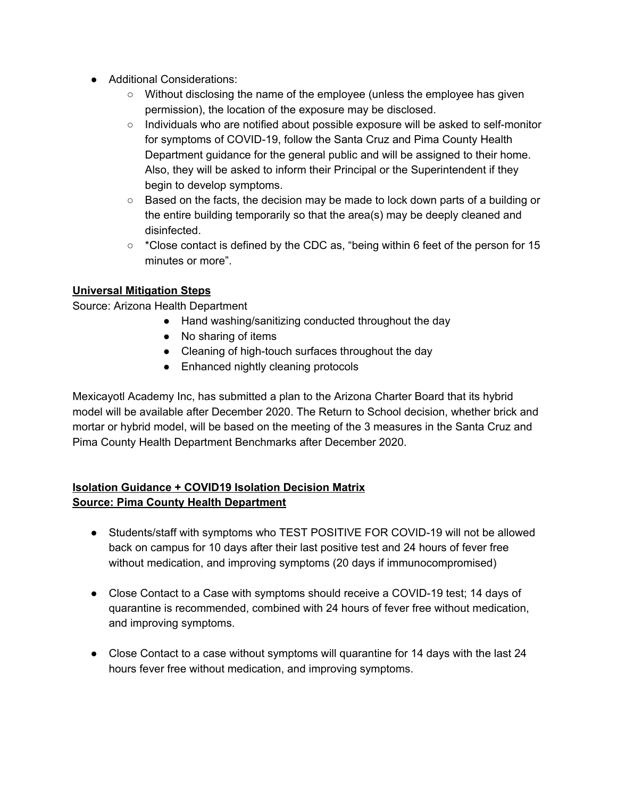- Additional Considerations:
	- Without disclosing the name of the employee (unless the employee has given permission), the location of the exposure may be disclosed.
	- Individuals who are notified about possible exposure will be asked to self-monitor for symptoms of COVID-19, follow the Santa Cruz and Pima County Health Department guidance for the general public and will be assigned to their home. Also, they will be asked to inform their Principal or the Superintendent if they begin to develop symptoms.
	- $\circ$  Based on the facts, the decision may be made to lock down parts of a building or the entire building temporarily so that the area(s) may be deeply cleaned and disinfected.
	- $\circ$  \*Close contact is defined by the CDC as, "being within 6 feet of the person for 15 minutes or more".

### **Universal Mitigation Steps**

Source: Arizona Health Department

- Hand washing/sanitizing conducted throughout the day
- No sharing of items
- Cleaning of high-touch surfaces throughout the day
- Enhanced nightly cleaning protocols

Mexicayotl Academy Inc, has submitted a plan to the Arizona Charter Board that its hybrid model will be available after December 2020. The Return to School decision, whether brick and mortar or hybrid model, will be based on the meeting of the 3 measures in the Santa Cruz and Pima County Health Department Benchmarks after December 2020.

# **Isolation Guidance + COVID19 Isolation Decision Matrix Source: Pima County Health Department**

- Students/staff with symptoms who TEST POSITIVE FOR COVID-19 will not be allowed back on campus for 10 days after their last positive test and 24 hours of fever free without medication, and improving symptoms (20 days if immunocompromised)
- Close Contact to a Case with symptoms should receive a COVID-19 test; 14 days of quarantine is recommended, combined with 24 hours of fever free without medication, and improving symptoms.
- Close Contact to a case without symptoms will quarantine for 14 days with the last 24 hours fever free without medication, and improving symptoms.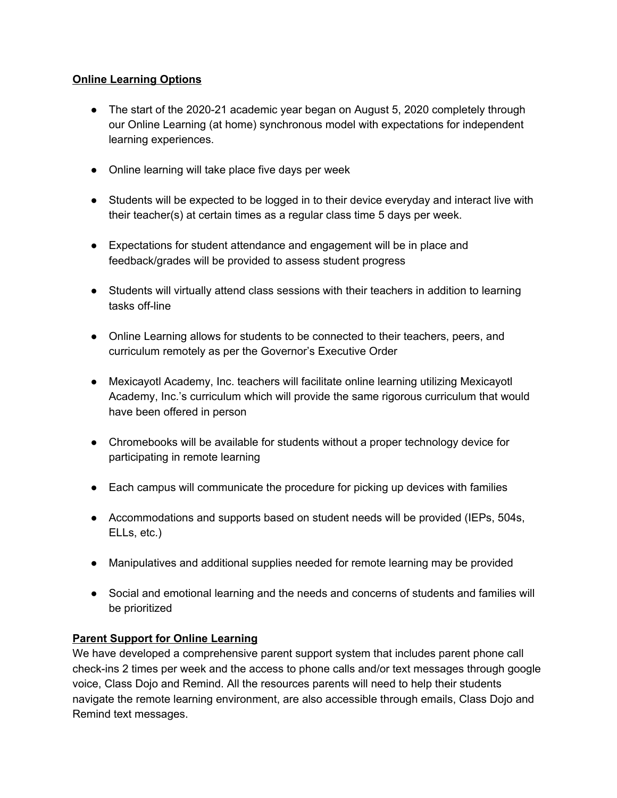### **Online Learning Options**

- The start of the 2020-21 academic year began on August 5, 2020 completely through our Online Learning (at home) synchronous model with expectations for independent learning experiences.
- Online learning will take place five days per week
- Students will be expected to be logged in to their device everyday and interact live with their teacher(s) at certain times as a regular class time 5 days per week.
- Expectations for student attendance and engagement will be in place and feedback/grades will be provided to assess student progress
- Students will virtually attend class sessions with their teachers in addition to learning tasks off-line
- Online Learning allows for students to be connected to their teachers, peers, and curriculum remotely as per the Governor's Executive Order
- Mexicayotl Academy, Inc. teachers will facilitate online learning utilizing Mexicayotl Academy, Inc.'s curriculum which will provide the same rigorous curriculum that would have been offered in person
- Chromebooks will be available for students without a proper technology device for participating in remote learning
- Each campus will communicate the procedure for picking up devices with families
- Accommodations and supports based on student needs will be provided (IEPs, 504s, ELLs, etc.)
- Manipulatives and additional supplies needed for remote learning may be provided
- Social and emotional learning and the needs and concerns of students and families will be prioritized

#### **Parent Support for Online Learning**

We have developed a comprehensive parent support system that includes parent phone call check-ins 2 times per week and the access to phone calls and/or text messages through google voice, Class Dojo and Remind. All the resources parents will need to help their students navigate the remote learning environment, are also accessible through emails, Class Dojo and Remind text messages.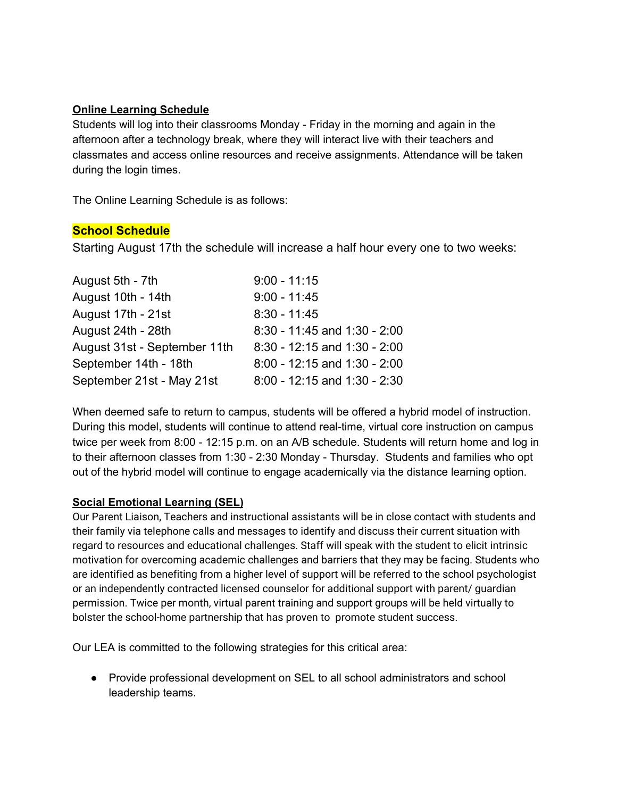#### **Online Learning Schedule**

Students will log into their classrooms Monday - Friday in the morning and again in the afternoon after a technology break, where they will interact live with their teachers and classmates and access online resources and receive assignments. Attendance will be taken during the login times.

The Online Learning Schedule is as follows:

### **School Schedule**

Starting August 17th the schedule will increase a half hour every one to two weeks:

| August 5th - 7th             | $9:00 - 11:15$                   |
|------------------------------|----------------------------------|
| August 10th - 14th           | $9:00 - 11:45$                   |
| August 17th - 21st           | $8:30 - 11:45$                   |
| August 24th - 28th           | 8:30 - 11:45 and 1:30 - 2:00     |
| August 31st - September 11th | 8:30 - 12:15 and 1:30 - 2:00     |
| September 14th - 18th        | 8:00 - 12:15 and 1:30 - 2:00     |
| September 21st - May 21st    | $8.00 - 12:15$ and $1:30 - 2:30$ |

When deemed safe to return to campus, students will be offered a hybrid model of instruction. During this model, students will continue to attend real-time, virtual core instruction on campus twice per week from 8:00 - 12:15 p.m. on an A/B schedule. Students will return home and log in to their afternoon classes from 1:30 - 2:30 Monday - Thursday. Students and families who opt out of the hybrid model will continue to engage academically via the distance learning option.

### **Social Emotional Learning (SEL)**

Our Parent Liaison, Teachers and instructional assistants will be in close contact with students and their family via telephone calls and messages to identify and discuss their current situation with regard to resources and educational challenges. Staff will speak with the student to elicit intrinsic motivation for overcoming academic challenges and barriers that they may be facing. Students who are identified as benefiting from a higher level of support will be referred to the school psychologist or an independently contracted licensed counselor for additional support with parent/ guardian permission. Twice per month, virtual parent training and support groups will be held virtually to bolster the school-home partnership that has proven to promote student success.

Our LEA is committed to the following strategies for this critical area:

● Provide professional development on SEL to all school administrators and school leadership teams.